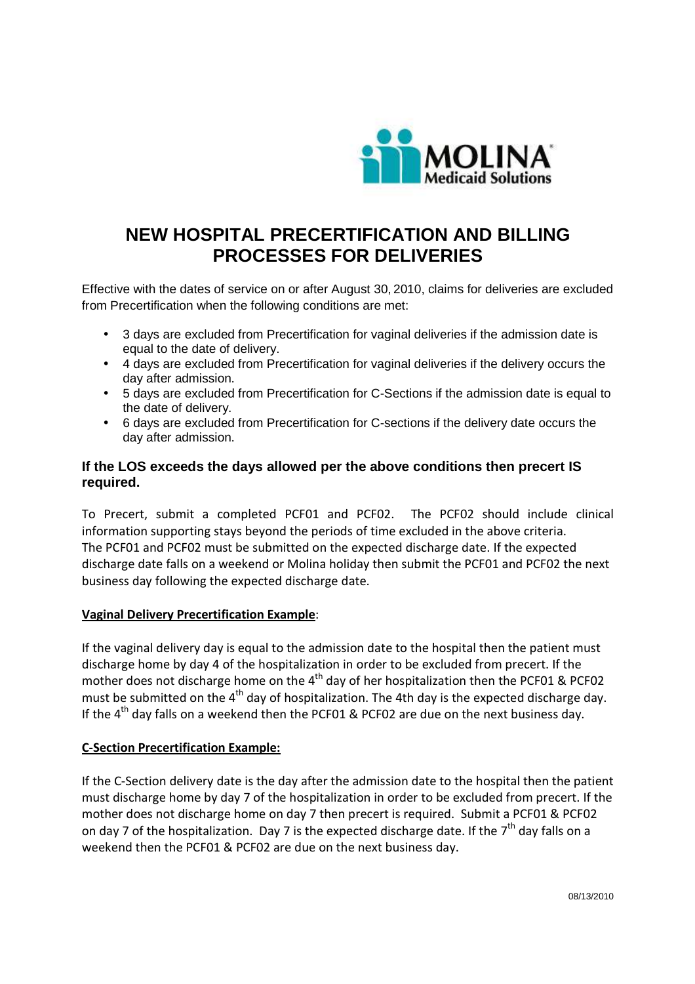

# **NEW HOSPITAL PRECERTIFICATION AND BILLING PROCESSES FOR DELIVERIES**

Effective with the dates of service on or after August 30, 2010, claims for deliveries are excluded from Precertification when the following conditions are met:

- 3 days are excluded from Precertification for vaginal deliveries if the admission date is equal to the date of delivery.
- 4 days are excluded from Precertification for vaginal deliveries if the delivery occurs the day after admission.
- 5 days are excluded from Precertification for C-Sections if the admission date is equal to the date of delivery.
- 6 days are excluded from Precertification for C-sections if the delivery date occurs the day after admission.

## **If the LOS exceeds the days allowed per the above conditions then precert IS required.**

To Precert, submit a completed PCF01 and PCF02. The PCF02 should include clinical information supporting stays beyond the periods of time excluded in the above criteria. The PCF01 and PCF02 must be submitted on the expected discharge date. If the expected discharge date falls on a weekend or Molina holiday then submit the PCF01 and PCF02 the next business day following the expected discharge date.

## **Vaginal Delivery Precertification Example**:

If the vaginal delivery day is equal to the admission date to the hospital then the patient must discharge home by day 4 of the hospitalization in order to be excluded from precert. If the mother does not discharge home on the  $4<sup>th</sup>$  day of her hospitalization then the PCF01 & PCF02 must be submitted on the 4<sup>th</sup> day of hospitalization. The 4th day is the expected discharge day. If the  $4<sup>th</sup>$  day falls on a weekend then the PCF01 & PCF02 are due on the next business day.

## **C-Section Precertification Example:**

If the C-Section delivery date is the day after the admission date to the hospital then the patient must discharge home by day 7 of the hospitalization in order to be excluded from precert. If the mother does not discharge home on day 7 then precert is required. Submit a PCF01 & PCF02 on day 7 of the hospitalization. Day 7 is the expected discharge date. If the  $7<sup>th</sup>$  day falls on a weekend then the PCF01 & PCF02 are due on the next business day.